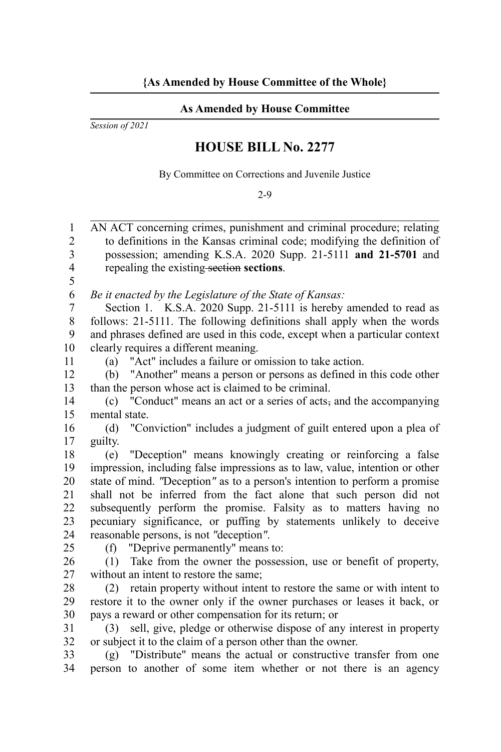## **As Amended by House Committee**

*Session of 2021*

## **HOUSE BILL No. 2277**

By Committee on Corrections and Juvenile Justice

2-9

AN ACT concerning crimes, punishment and criminal procedure; relating to definitions in the Kansas criminal code; modifying the definition of possession; amending K.S.A. 2020 Supp. 21-5111 **and 21-5701** and repealing the existing section **sections**. 1  $\overline{2}$ 3 4

5 6

*Be it enacted by the Legislature of the State of Kansas:*

Section 1. K.S.A. 2020 Supp. 21-5111 is hereby amended to read as follows: 21-5111. The following definitions shall apply when the words and phrases defined are used in this code, except when a particular context clearly requires a different meaning. 7 8 9 10

11

(a) "Act" includes a failure or omission to take action.

(b) "Another" means a person or persons as defined in this code other than the person whose act is claimed to be criminal. 12 13

(c) "Conduct" means an act or a series of acts, and the accompanying mental state. 14 15

(d) "Conviction" includes a judgment of guilt entered upon a plea of guilty. 16 17

(e) "Deception" means knowingly creating or reinforcing a false impression, including false impressions as to law, value, intention or other state of mind. *"*Deception*"* as to a person's intention to perform a promise shall not be inferred from the fact alone that such person did not subsequently perform the promise. Falsity as to matters having no pecuniary significance, or puffing by statements unlikely to deceive reasonable persons, is not *"*deception*"*. 18 19 20 21 22 23 24

25

(f) "Deprive permanently" means to:

(1) Take from the owner the possession, use or benefit of property, without an intent to restore the same; 26 27

(2) retain property without intent to restore the same or with intent to restore it to the owner only if the owner purchases or leases it back, or pays a reward or other compensation for its return; or 28 29 30

(3) sell, give, pledge or otherwise dispose of any interest in property or subject it to the claim of a person other than the owner. 31 32

(g) "Distribute" means the actual or constructive transfer from one person to another of some item whether or not there is an agency 33 34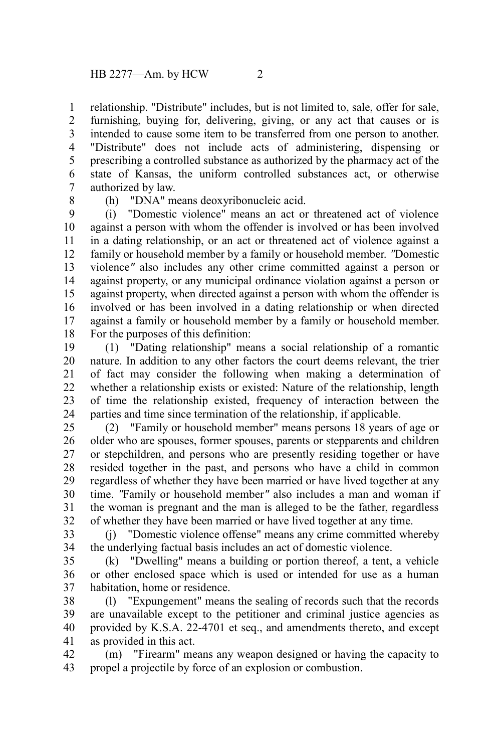relationship. "Distribute" includes, but is not limited to, sale, offer for sale, furnishing, buying for, delivering, giving, or any act that causes or is intended to cause some item to be transferred from one person to another. "Distribute" does not include acts of administering, dispensing or prescribing a controlled substance as authorized by the pharmacy act of the state of Kansas, the uniform controlled substances act, or otherwise authorized by law. 1 2 3 4 5 6 7

8

(h) "DNA" means deoxyribonucleic acid.

(i) "Domestic violence" means an act or threatened act of violence against a person with whom the offender is involved or has been involved in a dating relationship, or an act or threatened act of violence against a family or household member by a family or household member. *"*Domestic violence*"* also includes any other crime committed against a person or against property, or any municipal ordinance violation against a person or against property, when directed against a person with whom the offender is involved or has been involved in a dating relationship or when directed against a family or household member by a family or household member. For the purposes of this definition: 9 10 11 12 13 14 15 16 17 18

(1) "Dating relationship" means a social relationship of a romantic nature. In addition to any other factors the court deems relevant, the trier of fact may consider the following when making a determination of whether a relationship exists or existed: Nature of the relationship, length of time the relationship existed, frequency of interaction between the parties and time since termination of the relationship, if applicable. 19 20 21 22 23 24

(2) "Family or household member" means persons 18 years of age or older who are spouses, former spouses, parents or stepparents and children or stepchildren, and persons who are presently residing together or have resided together in the past, and persons who have a child in common regardless of whether they have been married or have lived together at any time. *"*Family or household member*"* also includes a man and woman if the woman is pregnant and the man is alleged to be the father, regardless of whether they have been married or have lived together at any time. 25 26 27 28 29 30 31 32

(j) "Domestic violence offense" means any crime committed whereby the underlying factual basis includes an act of domestic violence. 33 34

(k) "Dwelling" means a building or portion thereof, a tent, a vehicle or other enclosed space which is used or intended for use as a human habitation, home or residence. 35 36 37

(l) "Expungement" means the sealing of records such that the records are unavailable except to the petitioner and criminal justice agencies as provided by K.S.A. 22-4701 et seq., and amendments thereto, and except as provided in this act. 38 39 40 41

(m) "Firearm" means any weapon designed or having the capacity to propel a projectile by force of an explosion or combustion. 42 43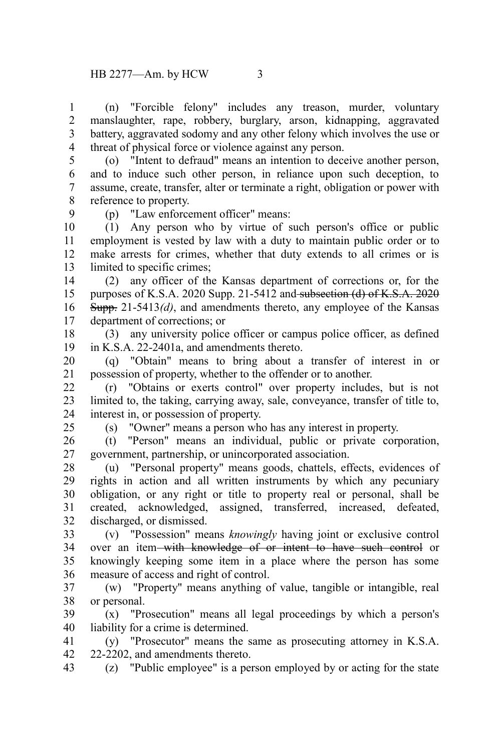(n) "Forcible felony" includes any treason, murder, voluntary manslaughter, rape, robbery, burglary, arson, kidnapping, aggravated battery, aggravated sodomy and any other felony which involves the use or threat of physical force or violence against any person. 1 2 3 4

5

(o) "Intent to defraud" means an intention to deceive another person, and to induce such other person, in reliance upon such deception, to assume, create, transfer, alter or terminate a right, obligation or power with reference to property. 6 7 8

9

25

(p) "Law enforcement officer" means:

(1) Any person who by virtue of such person's office or public employment is vested by law with a duty to maintain public order or to make arrests for crimes, whether that duty extends to all crimes or is limited to specific crimes: 10 11 12 13

(2) any officer of the Kansas department of corrections or, for the purposes of K.S.A. 2020 Supp. 21-5412 and subsection (d) of K.S.A.  $2020$ Supp. 21-5413*(d)*, and amendments thereto, any employee of the Kansas department of corrections; or 14 15 16 17

(3) any university police officer or campus police officer, as defined in K.S.A. 22-2401a, and amendments thereto. 18 19

(q) "Obtain" means to bring about a transfer of interest in or possession of property, whether to the offender or to another. 20 21

(r) "Obtains or exerts control" over property includes, but is not limited to, the taking, carrying away, sale, conveyance, transfer of title to, interest in, or possession of property. 22 23 24

(s) "Owner" means a person who has any interest in property.

(t) "Person" means an individual, public or private corporation, government, partnership, or unincorporated association. 26 27

(u) "Personal property" means goods, chattels, effects, evidences of rights in action and all written instruments by which any pecuniary obligation, or any right or title to property real or personal, shall be created, acknowledged, assigned, transferred, increased, defeated, discharged, or dismissed. 28 29 30 31 32

(v) "Possession" means *knowingly* having joint or exclusive control over an item-with knowledge of or intent to have such control or knowingly keeping some item in a place where the person has some measure of access and right of control. 33 34 35 36

(w) "Property" means anything of value, tangible or intangible, real or personal. 37 38

(x) "Prosecution" means all legal proceedings by which a person's liability for a crime is determined. 39 40

(y) "Prosecutor" means the same as prosecuting attorney in K.S.A. 22-2202, and amendments thereto. 41 42

(z) "Public employee" is a person employed by or acting for the state 43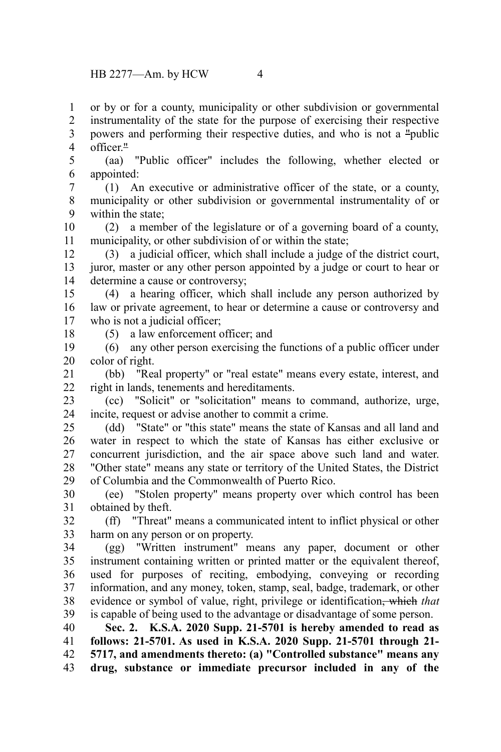or by or for a county, municipality or other subdivision or governmental 1

instrumentality of the state for the purpose of exercising their respective powers and performing their respective duties, and who is not a "public officer." 2 3 4

(aa) "Public officer" includes the following, whether elected or appointed: 5 6

(1) An executive or administrative officer of the state, or a county, municipality or other subdivision or governmental instrumentality of or within the state; 7 8 9

(2) a member of the legislature or of a governing board of a county, municipality, or other subdivision of or within the state; 10 11

(3) a judicial officer, which shall include a judge of the district court, juror, master or any other person appointed by a judge or court to hear or determine a cause or controversy; 12 13 14

(4) a hearing officer, which shall include any person authorized by law or private agreement, to hear or determine a cause or controversy and who is not a judicial officer; 15 16 17

18

(5) a law enforcement officer; and

(6) any other person exercising the functions of a public officer under color of right. 19 20

(bb) "Real property" or "real estate" means every estate, interest, and right in lands, tenements and hereditaments. 21 22

(cc) "Solicit" or "solicitation" means to command, authorize, urge, incite, request or advise another to commit a crime. 23 24

(dd) "State" or "this state" means the state of Kansas and all land and water in respect to which the state of Kansas has either exclusive or concurrent jurisdiction, and the air space above such land and water. "Other state" means any state or territory of the United States, the District of Columbia and the Commonwealth of Puerto Rico. 25 26 27 28 29

(ee) "Stolen property" means property over which control has been obtained by theft. 30 31

(ff) "Threat" means a communicated intent to inflict physical or other harm on any person or on property. 32 33

(gg) "Written instrument" means any paper, document or other instrument containing written or printed matter or the equivalent thereof, used for purposes of reciting, embodying, conveying or recording information, and any money, token, stamp, seal, badge, trademark, or other evidence or symbol of value, right, privilege or identification, which *that* is capable of being used to the advantage or disadvantage of some person. 34 35 36 37 38 39

**Sec. 2. K.S.A. 2020 Supp. 21-5701 is hereby amended to read as follows: 21-5701. As used in K.S.A. 2020 Supp. 21-5701 through 21- 5717, and amendments thereto: (a) "Controlled substance" means any drug, substance or immediate precursor included in any of the** 40 41 42 43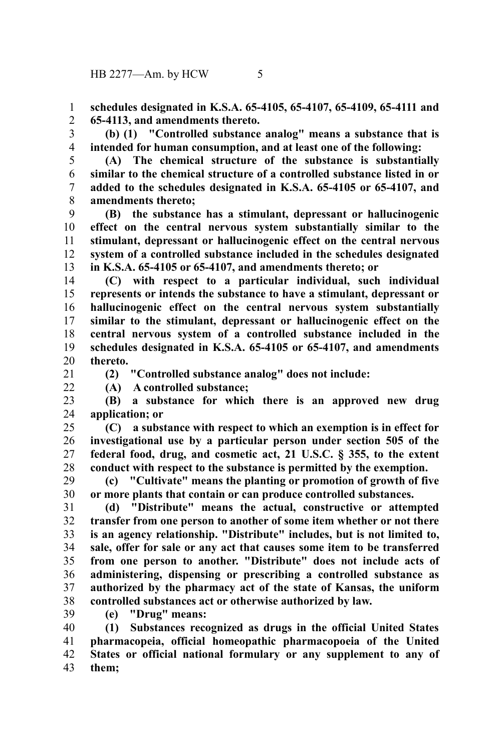**schedules designated in K.S.A. 65-4105, 65-4107, 65-4109, 65-4111 and 65-4113, and amendments thereto.** 1 2

**(b) (1) "Controlled substance analog" means a substance that is intended for human consumption, and at least one of the following:** 3 4

5

**(A) The chemical structure of the substance is substantially similar to the chemical structure of a controlled substance listed in or added to the schedules designated in K.S.A. 65-4105 or 65-4107, and amendments thereto;** 6 7 8

**(B) the substance has a stimulant, depressant or hallucinogenic effect on the central nervous system substantially similar to the stimulant, depressant or hallucinogenic effect on the central nervous system of a controlled substance included in the schedules designated in K.S.A. 65-4105 or 65-4107, and amendments thereto; or** 9 10 11 12 13

**(C) with respect to a particular individual, such individual represents or intends the substance to have a stimulant, depressant or hallucinogenic effect on the central nervous system substantially similar to the stimulant, depressant or hallucinogenic effect on the central nervous system of a controlled substance included in the schedules designated in K.S.A. 65-4105 or 65-4107, and amendments thereto.** 14 15 16 17 18 19 20

21

 $22$ 

**(2) "Controlled substance analog" does not include:**

**(A) A controlled substance;**

**(B) a substance for which there is an approved new drug application; or** 23 24

**(C) a substance with respect to which an exemption is in effect for investigational use by a particular person under section 505 of the federal food, drug, and cosmetic act, 21 U.S.C. § 355, to the extent conduct with respect to the substance is permitted by the exemption.** 25 26 27 28

**(c) "Cultivate" means the planting or promotion of growth of five or more plants that contain or can produce controlled substances.** 29 30

**(d) "Distribute" means the actual, constructive or attempted transfer from one person to another of some item whether or not there is an agency relationship. "Distribute" includes, but is not limited to, sale, offer for sale or any act that causes some item to be transferred from one person to another. "Distribute" does not include acts of administering, dispensing or prescribing a controlled substance as authorized by the pharmacy act of the state of Kansas, the uniform controlled substances act or otherwise authorized by law.** 31 32 33 34 35 36 37 38

39

**(e) "Drug" means:**

**(1) Substances recognized as drugs in the official United States pharmacopeia, official homeopathic pharmacopoeia of the United States or official national formulary or any supplement to any of them;** 40 41 42 43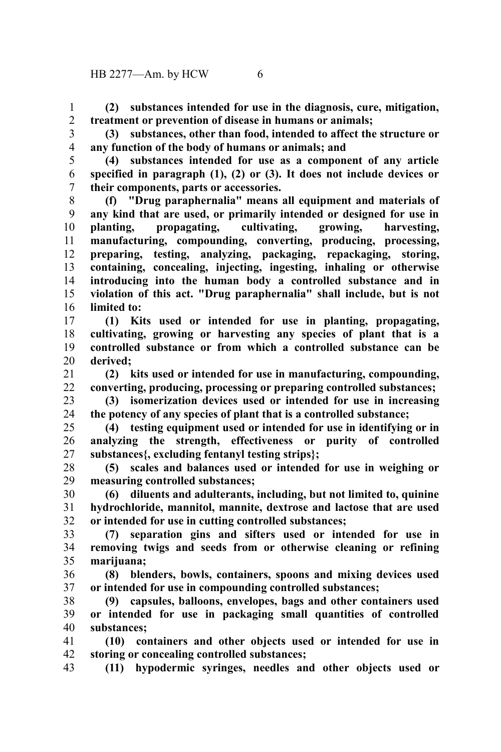**(2) substances intended for use in the diagnosis, cure, mitigation, treatment or prevention of disease in humans or animals;** 1 2

3

**(3) substances, other than food, intended to affect the structure or any function of the body of humans or animals; and** 4

5

**(4) substances intended for use as a component of any article specified in paragraph (1), (2) or (3). It does not include devices or their components, parts or accessories.** 6 7

**(f) "Drug paraphernalia" means all equipment and materials of any kind that are used, or primarily intended or designed for use in planting, propagating, cultivating, growing, harvesting, manufacturing, compounding, converting, producing, processing, preparing, testing, analyzing, packaging, repackaging, storing, containing, concealing, injecting, ingesting, inhaling or otherwise introducing into the human body a controlled substance and in violation of this act. "Drug paraphernalia" shall include, but is not limited to:** 8 9 10 11 12 13 14 15 16

**(1) Kits used or intended for use in planting, propagating, cultivating, growing or harvesting any species of plant that is a controlled substance or from which a controlled substance can be derived;** 17 18 19 20

**(2) kits used or intended for use in manufacturing, compounding, converting, producing, processing or preparing controlled substances;** 21 22

**(3) isomerization devices used or intended for use in increasing the potency of any species of plant that is a controlled substance;** 23 24

**(4) testing equipment used or intended for use in identifying or in analyzing the strength, effectiveness or purity of controlled substances{, excluding fentanyl testing strips};** 25 26 27

**(5) scales and balances used or intended for use in weighing or measuring controlled substances;** 28 29

**(6) diluents and adulterants, including, but not limited to, quinine hydrochloride, mannitol, mannite, dextrose and lactose that are used or intended for use in cutting controlled substances;** 30 31 32

**(7) separation gins and sifters used or intended for use in removing twigs and seeds from or otherwise cleaning or refining marijuana;** 33 34 35

**(8) blenders, bowls, containers, spoons and mixing devices used or intended for use in compounding controlled substances;** 36 37

**(9) capsules, balloons, envelopes, bags and other containers used or intended for use in packaging small quantities of controlled substances;** 38 39 40

**(10) containers and other objects used or intended for use in storing or concealing controlled substances;** 41 42

**(11) hypodermic syringes, needles and other objects used or** 43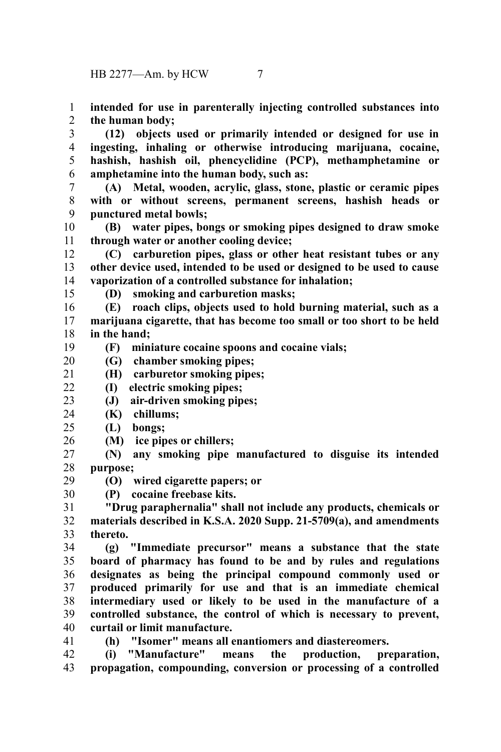**intended for use in parenterally injecting controlled substances into the human body;** 1 2

**(12) objects used or primarily intended or designed for use in ingesting, inhaling or otherwise introducing marijuana, cocaine, hashish, hashish oil, phencyclidine (PCP), methamphetamine or amphetamine into the human body, such as:** 3 4 5 6

**(A) Metal, wooden, acrylic, glass, stone, plastic or ceramic pipes with or without screens, permanent screens, hashish heads or punctured metal bowls;** 7 8 9

**(B) water pipes, bongs or smoking pipes designed to draw smoke through water or another cooling device;** 10 11

**(C) carburetion pipes, glass or other heat resistant tubes or any other device used, intended to be used or designed to be used to cause vaporization of a controlled substance for inhalation;** 12 13 14

15

29

41

**(D) smoking and carburetion masks;**

**(E) roach clips, objects used to hold burning material, such as a marijuana cigarette, that has become too small or too short to be held in the hand;** 16 17 18

**(F) miniature cocaine spoons and cocaine vials;** 19

**(G) chamber smoking pipes;** 20

**(H) carburetor smoking pipes;** 21

**(I) electric smoking pipes;**  $22$ 

**(J) air-driven smoking pipes;** 23

- **(K) chillums;** 24
- **(L) bongs;**  $25$
- **(M) ice pipes or chillers;** 26

**(N) any smoking pipe manufactured to disguise its intended purpose;** 27 28

**(O) wired cigarette papers; or**

**(P) cocaine freebase kits.** 30

**"Drug paraphernalia" shall not include any products, chemicals or materials described in K.S.A. 2020 Supp. 21-5709(a), and amendments thereto.** 31 32 33

**(g) "Immediate precursor" means a substance that the state board of pharmacy has found to be and by rules and regulations designates as being the principal compound commonly used or produced primarily for use and that is an immediate chemical intermediary used or likely to be used in the manufacture of a controlled substance, the control of which is necessary to prevent, curtail or limit manufacture.** 34 35 36 37 38 39 40

**(h) "Isomer" means all enantiomers and diastereomers.**

**(i) "Manufacture" means the production, preparation, propagation, compounding, conversion or processing of a controlled** 42 43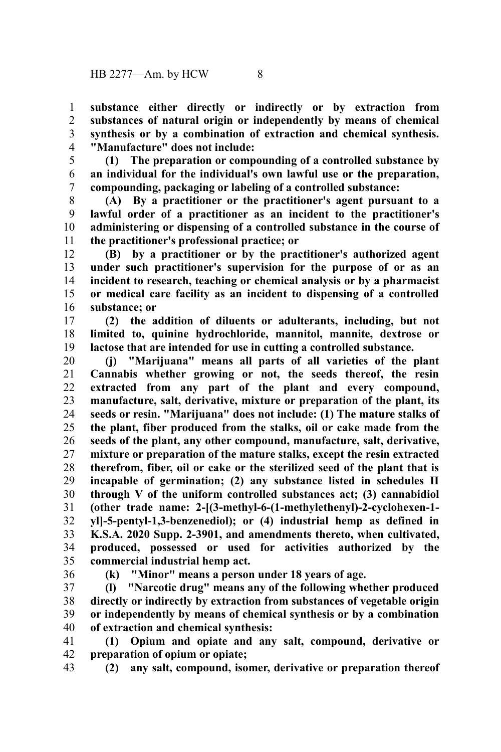**substance either directly or indirectly or by extraction from substances of natural origin or independently by means of chemical synthesis or by a combination of extraction and chemical synthesis. "Manufacture" does not include:** 1 2 3 4

5

**(1) The preparation or compounding of a controlled substance by an individual for the individual's own lawful use or the preparation, compounding, packaging or labeling of a controlled substance:** 6 7

**(A) By a practitioner or the practitioner's agent pursuant to a lawful order of a practitioner as an incident to the practitioner's administering or dispensing of a controlled substance in the course of the practitioner's professional practice; or** 8 9 10 11

**(B) by a practitioner or by the practitioner's authorized agent under such practitioner's supervision for the purpose of or as an incident to research, teaching or chemical analysis or by a pharmacist or medical care facility as an incident to dispensing of a controlled substance; or** 12 13 14 15 16

**(2) the addition of diluents or adulterants, including, but not limited to, quinine hydrochloride, mannitol, mannite, dextrose or lactose that are intended for use in cutting a controlled substance.** 17 18 19

**(j) "Marijuana" means all parts of all varieties of the plant Cannabis whether growing or not, the seeds thereof, the resin extracted from any part of the plant and every compound, manufacture, salt, derivative, mixture or preparation of the plant, its seeds or resin. "Marijuana" does not include: (1) The mature stalks of the plant, fiber produced from the stalks, oil or cake made from the seeds of the plant, any other compound, manufacture, salt, derivative, mixture or preparation of the mature stalks, except the resin extracted therefrom, fiber, oil or cake or the sterilized seed of the plant that is incapable of germination; (2) any substance listed in schedules II through V of the uniform controlled substances act; (3) cannabidiol (other trade name: 2-[(3-methyl-6-(1-methylethenyl)-2-cyclohexen-1 yl]-5-pentyl-1,3-benzenediol); or (4) industrial hemp as defined in K.S.A. 2020 Supp. 2-3901, and amendments thereto, when cultivated, produced, possessed or used for activities authorized by the commercial industrial hemp act.** 20 21 22 23 24 25 26 27 28 29 30 31 32 33 34 35

36

**(k) "Minor" means a person under 18 years of age.**

**(l) "Narcotic drug" means any of the following whether produced directly or indirectly by extraction from substances of vegetable origin or independently by means of chemical synthesis or by a combination of extraction and chemical synthesis:** 37 38 39 40

**(1) Opium and opiate and any salt, compound, derivative or preparation of opium or opiate;** 41 42

**(2) any salt, compound, isomer, derivative or preparation thereof** 43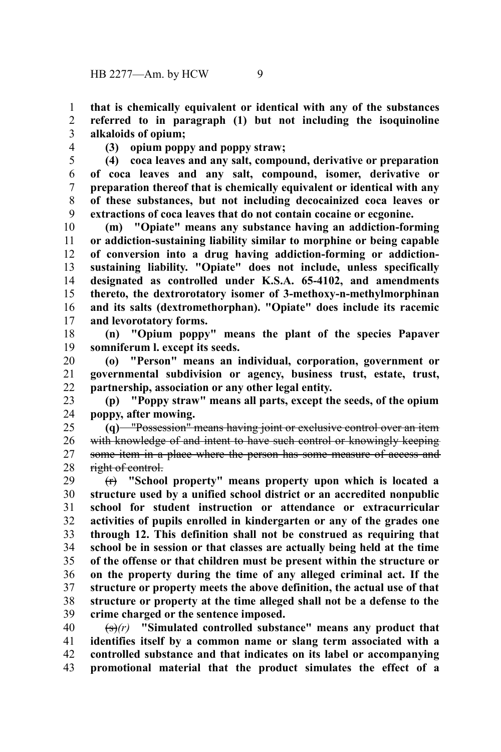**that is chemically equivalent or identical with any of the substances referred to in paragraph (1) but not including the isoquinoline alkaloids of opium;** 1 2 3

4

**(3) opium poppy and poppy straw;**

**(4) coca leaves and any salt, compound, derivative or preparation of coca leaves and any salt, compound, isomer, derivative or preparation thereof that is chemically equivalent or identical with any of these substances, but not including decocainized coca leaves or extractions of coca leaves that do not contain cocaine or ecgonine.** 5 6 7 8 9

**(m) "Opiate" means any substance having an addiction-forming or addiction-sustaining liability similar to morphine or being capable of conversion into a drug having addiction-forming or addictionsustaining liability. "Opiate" does not include, unless specifically designated as controlled under K.S.A. 65-4102, and amendments thereto, the dextrorotatory isomer of 3-methoxy-n-methylmorphinan and its salts (dextromethorphan). "Opiate" does include its racemic and levorotatory forms.** 10 11 12 13 14 15 16 17

**(n) "Opium poppy" means the plant of the species Papaver somniferum l. except its seeds.** 18 19

**(o) "Person" means an individual, corporation, government or governmental subdivision or agency, business trust, estate, trust, partnership, association or any other legal entity.** 20 21 22

**(p) "Poppy straw" means all parts, except the seeds, of the opium poppy, after mowing.** 23 24

**(q)** "Possession" means having joint or exclusive control over an item with knowledge of and intent to have such control or knowingly keeping some item in a place where the person has some measure of access and right of control. 25 26 27 28

(r) **"School property" means property upon which is located a structure used by a unified school district or an accredited nonpublic school for student instruction or attendance or extracurricular activities of pupils enrolled in kindergarten or any of the grades one through 12. This definition shall not be construed as requiring that school be in session or that classes are actually being held at the time of the offense or that children must be present within the structure or on the property during the time of any alleged criminal act. If the structure or property meets the above definition, the actual use of that structure or property at the time alleged shall not be a defense to the crime charged or the sentence imposed.** 29 30 31 32 33 34 35 36 37 38 39

(s)*(r)* **"Simulated controlled substance" means any product that identifies itself by a common name or slang term associated with a controlled substance and that indicates on its label or accompanying promotional material that the product simulates the effect of a** 40 41 42 43